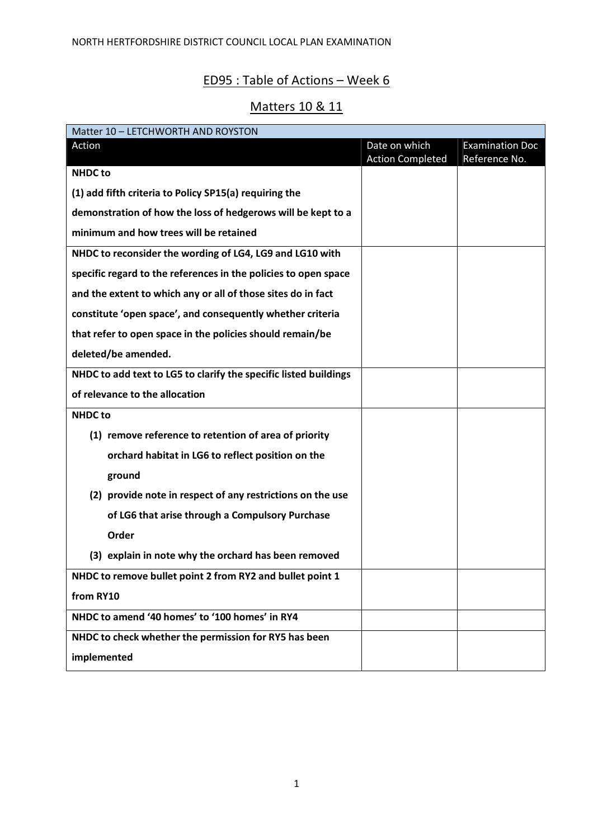## ED95 : Table of Actions – Week 6

## Matters 10 & 11

| Matter 10 - LETCHWORTH AND ROYSTON                               |                         |                        |
|------------------------------------------------------------------|-------------------------|------------------------|
| Action                                                           | Date on which           | <b>Examination Doc</b> |
|                                                                  | <b>Action Completed</b> | Reference No.          |
| <b>NHDC to</b>                                                   |                         |                        |
| (1) add fifth criteria to Policy SP15(a) requiring the           |                         |                        |
| demonstration of how the loss of hedgerows will be kept to a     |                         |                        |
| minimum and how trees will be retained                           |                         |                        |
| NHDC to reconsider the wording of LG4, LG9 and LG10 with         |                         |                        |
| specific regard to the references in the policies to open space  |                         |                        |
| and the extent to which any or all of those sites do in fact     |                         |                        |
| constitute 'open space', and consequently whether criteria       |                         |                        |
| that refer to open space in the policies should remain/be        |                         |                        |
| deleted/be amended.                                              |                         |                        |
| NHDC to add text to LG5 to clarify the specific listed buildings |                         |                        |
| of relevance to the allocation                                   |                         |                        |
| <b>NHDC to</b>                                                   |                         |                        |
| (1) remove reference to retention of area of priority            |                         |                        |
| orchard habitat in LG6 to reflect position on the                |                         |                        |
| ground                                                           |                         |                        |
| (2) provide note in respect of any restrictions on the use       |                         |                        |
| of LG6 that arise through a Compulsory Purchase                  |                         |                        |
| Order                                                            |                         |                        |
| (3) explain in note why the orchard has been removed             |                         |                        |
| NHDC to remove bullet point 2 from RY2 and bullet point 1        |                         |                        |
| from RY10                                                        |                         |                        |
| NHDC to amend '40 homes' to '100 homes' in RY4                   |                         |                        |
| NHDC to check whether the permission for RY5 has been            |                         |                        |
| implemented                                                      |                         |                        |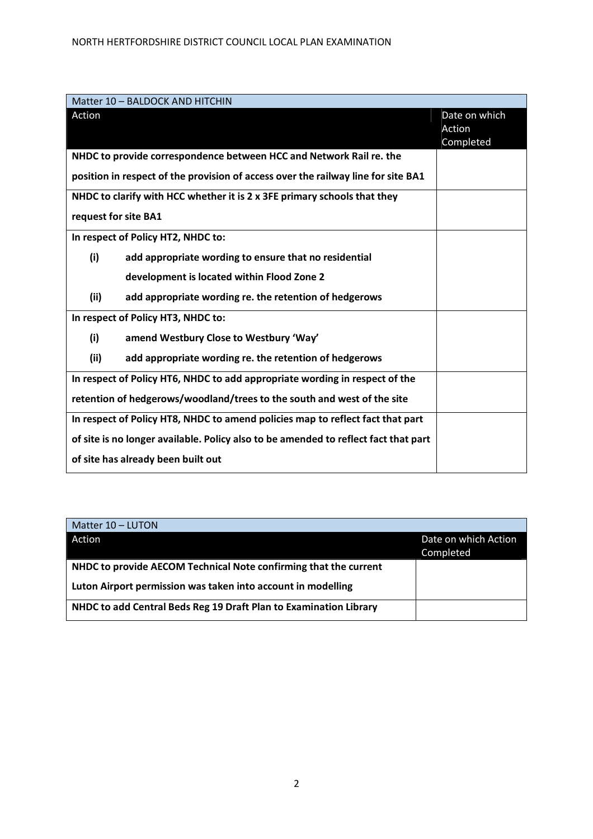| Matter 10 - BALDOCK AND HITCHIN                                                     |               |
|-------------------------------------------------------------------------------------|---------------|
| Action                                                                              | Date on which |
|                                                                                     | Action        |
|                                                                                     | Completed     |
| NHDC to provide correspondence between HCC and Network Rail re. the                 |               |
| position in respect of the provision of access over the railway line for site BA1   |               |
| NHDC to clarify with HCC whether it is 2 x 3FE primary schools that they            |               |
| request for site BA1                                                                |               |
| In respect of Policy HT2, NHDC to:                                                  |               |
| (i)<br>add appropriate wording to ensure that no residential                        |               |
| development is located within Flood Zone 2                                          |               |
| (ii)<br>add appropriate wording re. the retention of hedgerows                      |               |
| In respect of Policy HT3, NHDC to:                                                  |               |
| (i)<br>amend Westbury Close to Westbury 'Way'                                       |               |
| (ii)<br>add appropriate wording re. the retention of hedgerows                      |               |
| In respect of Policy HT6, NHDC to add appropriate wording in respect of the         |               |
| retention of hedgerows/woodland/trees to the south and west of the site             |               |
| In respect of Policy HT8, NHDC to amend policies map to reflect fact that part      |               |
| of site is no longer available. Policy also to be amended to reflect fact that part |               |
| of site has already been built out                                                  |               |

| Matter 10 - LUTON                                                 |                      |
|-------------------------------------------------------------------|----------------------|
| Action                                                            | Date on which Action |
|                                                                   | Completed            |
| NHDC to provide AECOM Technical Note confirming that the current  |                      |
| Luton Airport permission was taken into account in modelling      |                      |
| NHDC to add Central Beds Reg 19 Draft Plan to Examination Library |                      |